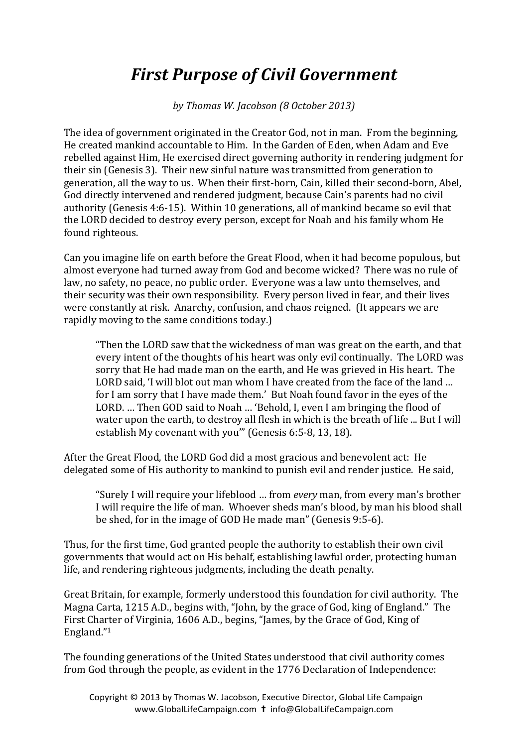## **First Purpose of Civil Government**

by Thomas W. Jacobson (8 October 2013)

The idea of government originated in the Creator God, not in man. From the beginning, He created mankind accountable to Him. In the Garden of Eden, when Adam and Eve rebelled against Him, He exercised direct governing authority in rendering judgment for their sin (Genesis 3). Their new sinful nature was transmitted from generation to generation, all the way to us. When their first-born, Cain, killed their second-born, Abel, God directly intervened and rendered judgment, because Cain's parents had no civil authority (Genesis 4:6-15). Within 10 generations, all of mankind became so evil that the LORD decided to destroy every person, except for Noah and his family whom He found righteous.

Can you imagine life on earth before the Great Flood, when it had become populous, but almost everyone had turned away from God and become wicked? There was no rule of law, no safety, no peace, no public order. Everyone was a law unto themselves, and their security was their own responsibility. Every person lived in fear, and their lives were constantly at risk. Anarchy, confusion, and chaos reigned. (It appears we are rapidly moving to the same conditions today.)

"Then the LORD saw that the wickedness of man was great on the earth, and that every intent of the thoughts of his heart was only evil continually. The LORD was sorry that He had made man on the earth, and He was grieved in His heart. The LORD said, 'I will blot out man whom I have created from the face of the land ... for I am sorry that I have made them.' But Noah found favor in the eyes of the LORD. ... Then GOD said to Noah ... 'Behold, I, even I am bringing the flood of water upon the earth, to destroy all flesh in which is the breath of life ... But I will establish My covenant with you"' (Genesis 6:5-8, 13, 18).

After the Great Flood, the LORD God did a most gracious and benevolent act: He delegated some of His authority to mankind to punish evil and render justice. He said,

"Surely I will require your lifeblood ... from *every* man, from every man's brother I will require the life of man. Whoever sheds man's blood, by man his blood shall be shed, for in the image of GOD He made man" (Genesis 9:5-6).

Thus, for the first time, God granted people the authority to establish their own civil governments that would act on His behalf, establishing lawful order, protecting human life, and rendering righteous judgments, including the death penalty.

Great Britain, for example, formerly understood this foundation for civil authority. The Magna Carta, 1215 A.D., begins with, "John, by the grace of God, king of England." The First Charter of Virginia, 1606 A.D., begins, "James, by the Grace of God, King of England."1 

The founding generations of the United States understood that civil authority comes from God through the people, as evident in the 1776 Declaration of Independence: